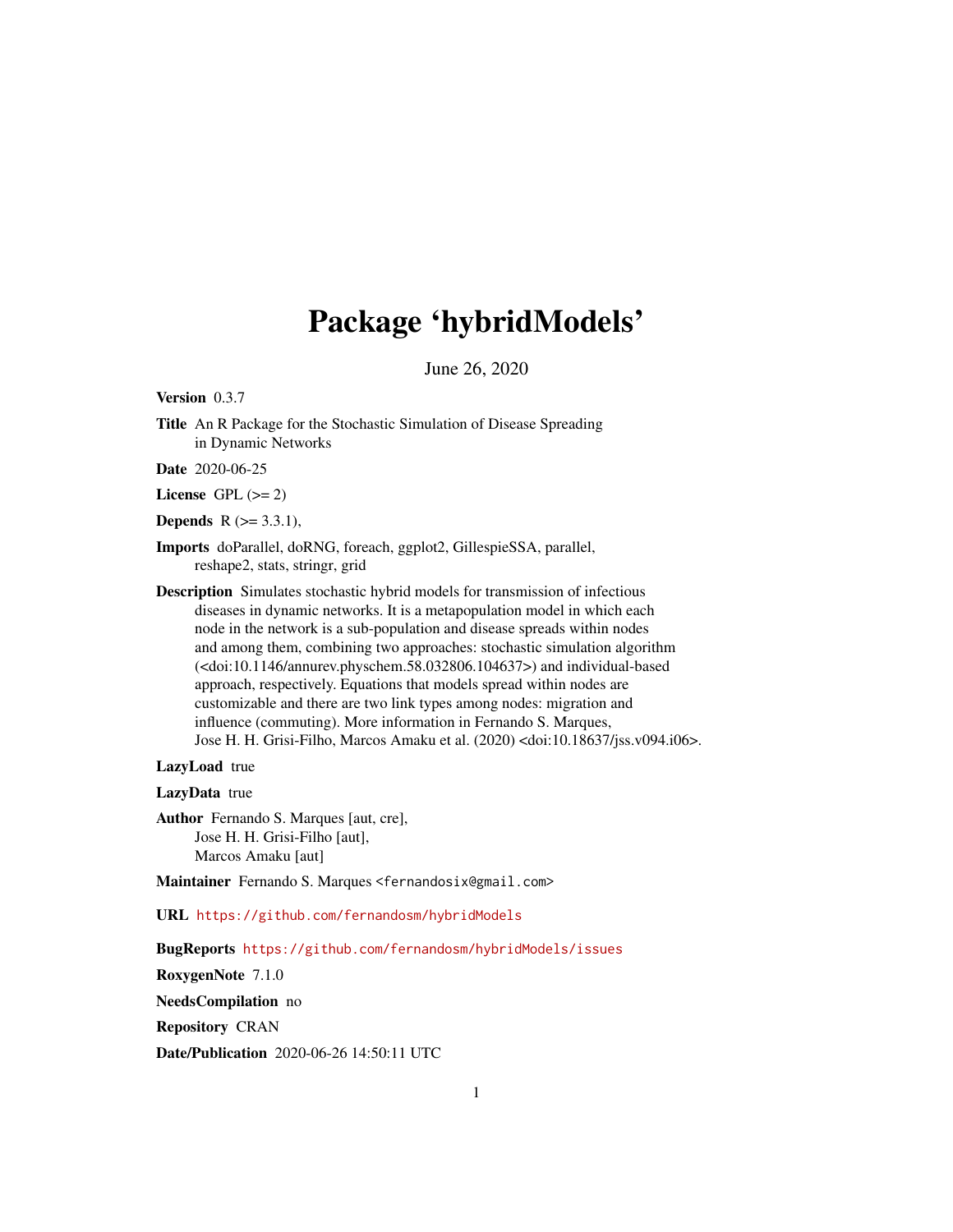# Package 'hybridModels'

June 26, 2020

<span id="page-0-0"></span>Version 0.3.7

Title An R Package for the Stochastic Simulation of Disease Spreading in Dynamic Networks

Date 2020-06-25

License GPL  $(>= 2)$ 

**Depends** R  $(>= 3.3.1)$ ,

- Imports doParallel, doRNG, foreach, ggplot2, GillespieSSA, parallel, reshape2, stats, stringr, grid
- Description Simulates stochastic hybrid models for transmission of infectious diseases in dynamic networks. It is a metapopulation model in which each node in the network is a sub-population and disease spreads within nodes and among them, combining two approaches: stochastic simulation algorithm (<doi:10.1146/annurev.physchem.58.032806.104637>) and individual-based approach, respectively. Equations that models spread within nodes are customizable and there are two link types among nodes: migration and influence (commuting). More information in Fernando S. Marques, Jose H. H. Grisi-Filho, Marcos Amaku et al. (2020) <doi:10.18637/jss.v094.i06>.

LazyLoad true

LazyData true

Author Fernando S. Marques [aut, cre], Jose H. H. Grisi-Filho [aut], Marcos Amaku [aut]

Maintainer Fernando S. Marques <fernandosix@gmail.com>

URL <https://github.com/fernandosm/hybridModels>

BugReports <https://github.com/fernandosm/hybridModels/issues>

RoxygenNote 7.1.0

NeedsCompilation no

Repository CRAN

Date/Publication 2020-06-26 14:50:11 UTC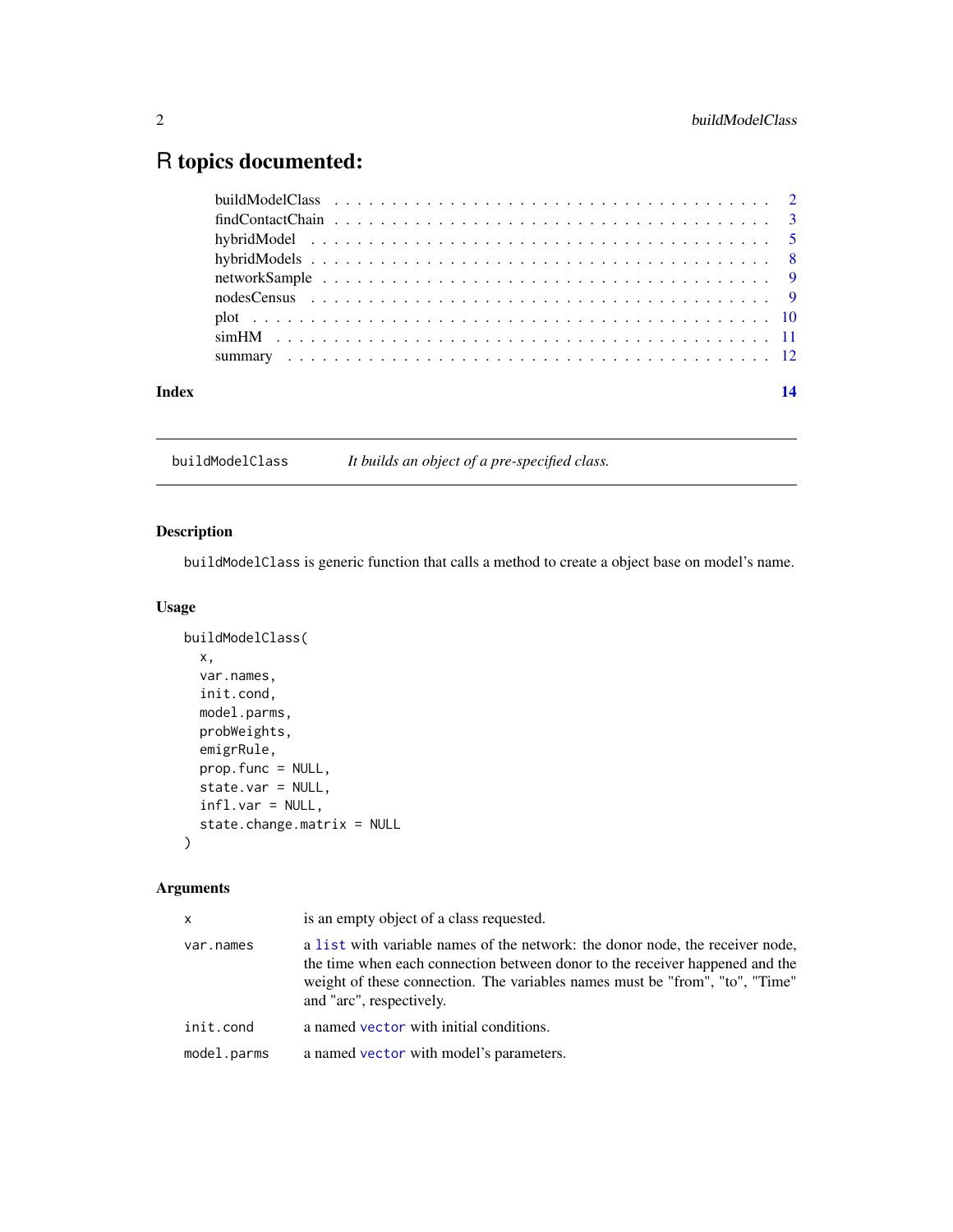## <span id="page-1-0"></span>R topics documented:

| Index |  |
|-------|--|
|       |  |
|       |  |
|       |  |
|       |  |
|       |  |
|       |  |
|       |  |
|       |  |
|       |  |

buildModelClass *It builds an object of a pre-specified class.*

#### Description

buildModelClass is generic function that calls a method to create a object base on model's name.

#### Usage

```
buildModelClass(
  x,
 var.names,
  init.cond,
 model.parms,
 probWeights,
  emigrRule,
 prop.func = NULL,
 state.var = NULL,
  infl.var = NULL,
  state.change.matrix = NULL
)
```
#### Arguments

| x           | is an empty object of a class requested.                                                                                                                                                                                                                                  |
|-------------|---------------------------------------------------------------------------------------------------------------------------------------------------------------------------------------------------------------------------------------------------------------------------|
| var.names   | a list with variable names of the network: the donor node, the receiver node,<br>the time when each connection between donor to the receiver happened and the<br>weight of these connection. The variables names must be "from", "to", "Time"<br>and "arc", respectively. |
| init.cond   | a named vector with initial conditions.                                                                                                                                                                                                                                   |
| model.parms | a named vector with model's parameters.                                                                                                                                                                                                                                   |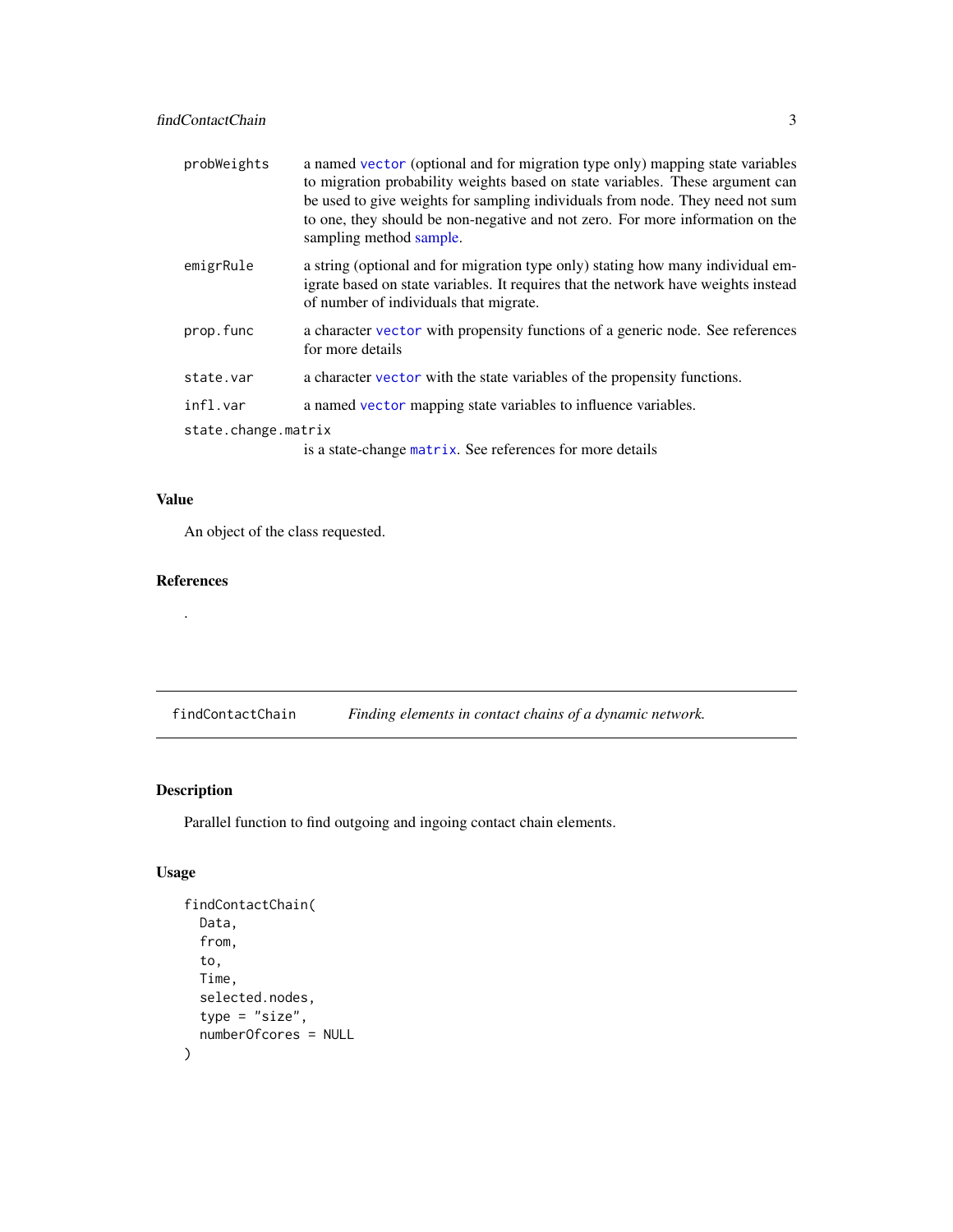<span id="page-2-0"></span>

| probWeights         | a named vector (optional and for migration type only) mapping state variables<br>to migration probability weights based on state variables. These argument can<br>be used to give weights for sampling individuals from node. They need not sum<br>to one, they should be non-negative and not zero. For more information on the<br>sampling method sample. |
|---------------------|-------------------------------------------------------------------------------------------------------------------------------------------------------------------------------------------------------------------------------------------------------------------------------------------------------------------------------------------------------------|
| emigrRule           | a string (optional and for migration type only) stating how many individual em-<br>igrate based on state variables. It requires that the network have weights instead<br>of number of individuals that migrate.                                                                                                                                             |
| prop.func           | a character vector with propensity functions of a generic node. See references<br>for more details                                                                                                                                                                                                                                                          |
| state.var           | a character vector with the state variables of the propensity functions.                                                                                                                                                                                                                                                                                    |
| infl.var            | a named vector mapping state variables to influence variables.                                                                                                                                                                                                                                                                                              |
| state.change.matrix |                                                                                                                                                                                                                                                                                                                                                             |
|                     | is a state-change matrix. See references for more details                                                                                                                                                                                                                                                                                                   |

#### Value

An object of the class requested.

#### References

.

findContactChain *Finding elements in contact chains of a dynamic network.*

#### Description

Parallel function to find outgoing and ingoing contact chain elements.

#### Usage

```
findContactChain(
  Data,
  from,
  to,
  Time,
  selected.nodes,
  type = "size",
  numberOfcores = NULL
\mathcal{E}
```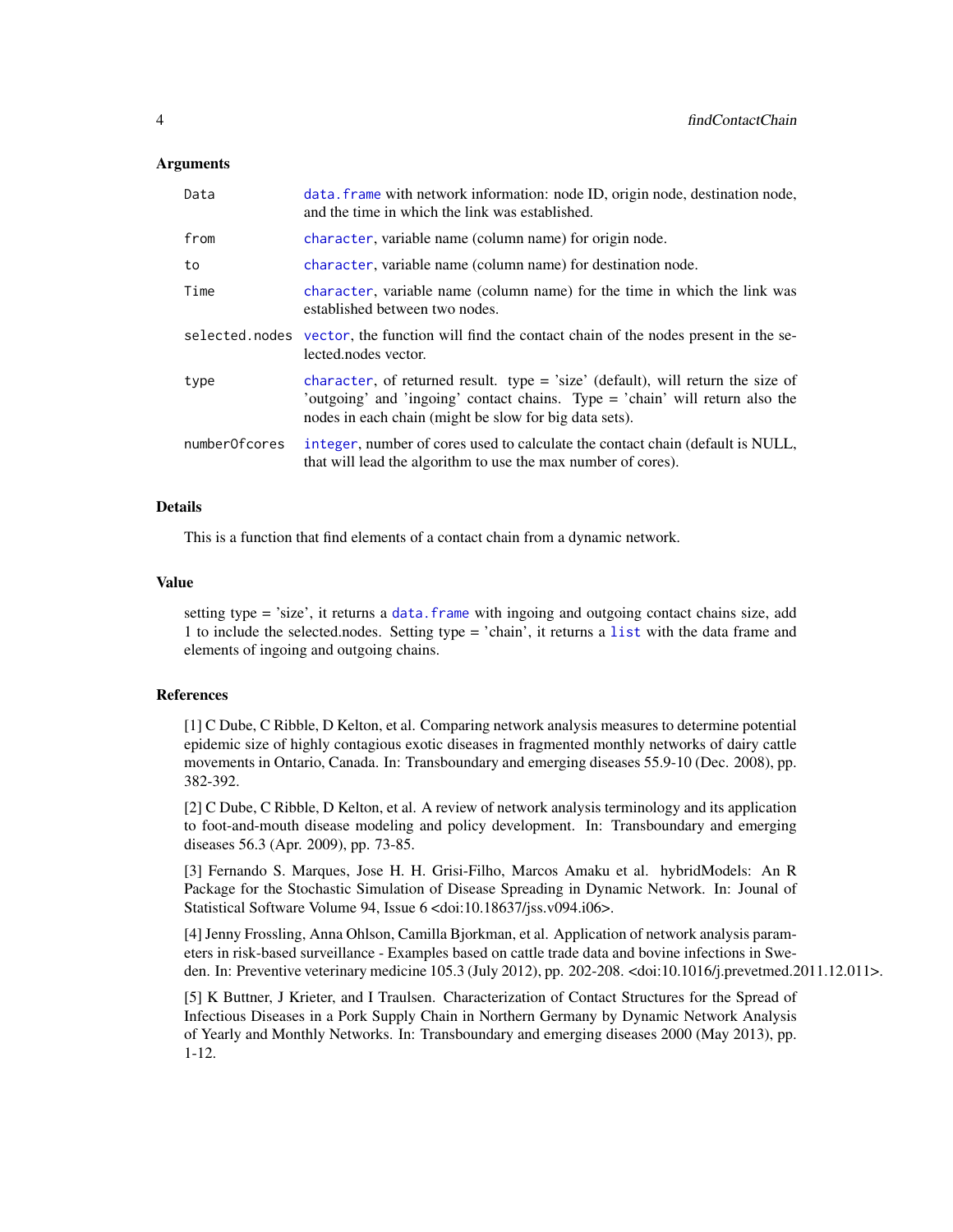#### <span id="page-3-0"></span>Arguments

| Data          | data. frame with network information: node ID, origin node, destination node,<br>and the time in which the link was established.                                                                                          |
|---------------|---------------------------------------------------------------------------------------------------------------------------------------------------------------------------------------------------------------------------|
| from          | character, variable name (column name) for origin node.                                                                                                                                                                   |
| to            | character, variable name (column name) for destination node.                                                                                                                                                              |
| Time          | character, variable name (column name) for the time in which the link was<br>established between two nodes.                                                                                                               |
|               | selected nodes vector, the function will find the contact chain of the nodes present in the se-<br>lected.nodes vector.                                                                                                   |
| type          | character, of returned result. type = 'size' (default), will return the size of<br>'outgoing' and 'ingoing' contact chains. Type = 'chain' will return also the<br>nodes in each chain (might be slow for big data sets). |
| numberOfcores | integer, number of cores used to calculate the contact chain (default is NULL,<br>that will lead the algorithm to use the max number of cores).                                                                           |

#### Details

This is a function that find elements of a contact chain from a dynamic network.

#### Value

setting type = 'size', it returns a [data.frame](#page-0-0) with ingoing and outgoing contact chains size, add 1 to include the selected.nodes. Setting type = 'chain', it returns a [list](#page-0-0) with the data frame and elements of ingoing and outgoing chains.

#### References

[1] C Dube, C Ribble, D Kelton, et al. Comparing network analysis measures to determine potential epidemic size of highly contagious exotic diseases in fragmented monthly networks of dairy cattle movements in Ontario, Canada. In: Transboundary and emerging diseases 55.9-10 (Dec. 2008), pp. 382-392.

[2] C Dube, C Ribble, D Kelton, et al. A review of network analysis terminology and its application to foot-and-mouth disease modeling and policy development. In: Transboundary and emerging diseases 56.3 (Apr. 2009), pp. 73-85.

[3] Fernando S. Marques, Jose H. H. Grisi-Filho, Marcos Amaku et al. hybridModels: An R Package for the Stochastic Simulation of Disease Spreading in Dynamic Network. In: Jounal of Statistical Software Volume 94, Issue 6 <doi:10.18637/jss.v094.i06>.

[4] Jenny Frossling, Anna Ohlson, Camilla Bjorkman, et al. Application of network analysis parameters in risk-based surveillance - Examples based on cattle trade data and bovine infections in Sweden. In: Preventive veterinary medicine 105.3 (July 2012), pp. 202-208. <doi:10.1016/j.prevetmed.2011.12.011>.

[5] K Buttner, J Krieter, and I Traulsen. Characterization of Contact Structures for the Spread of Infectious Diseases in a Pork Supply Chain in Northern Germany by Dynamic Network Analysis of Yearly and Monthly Networks. In: Transboundary and emerging diseases 2000 (May 2013), pp. 1-12.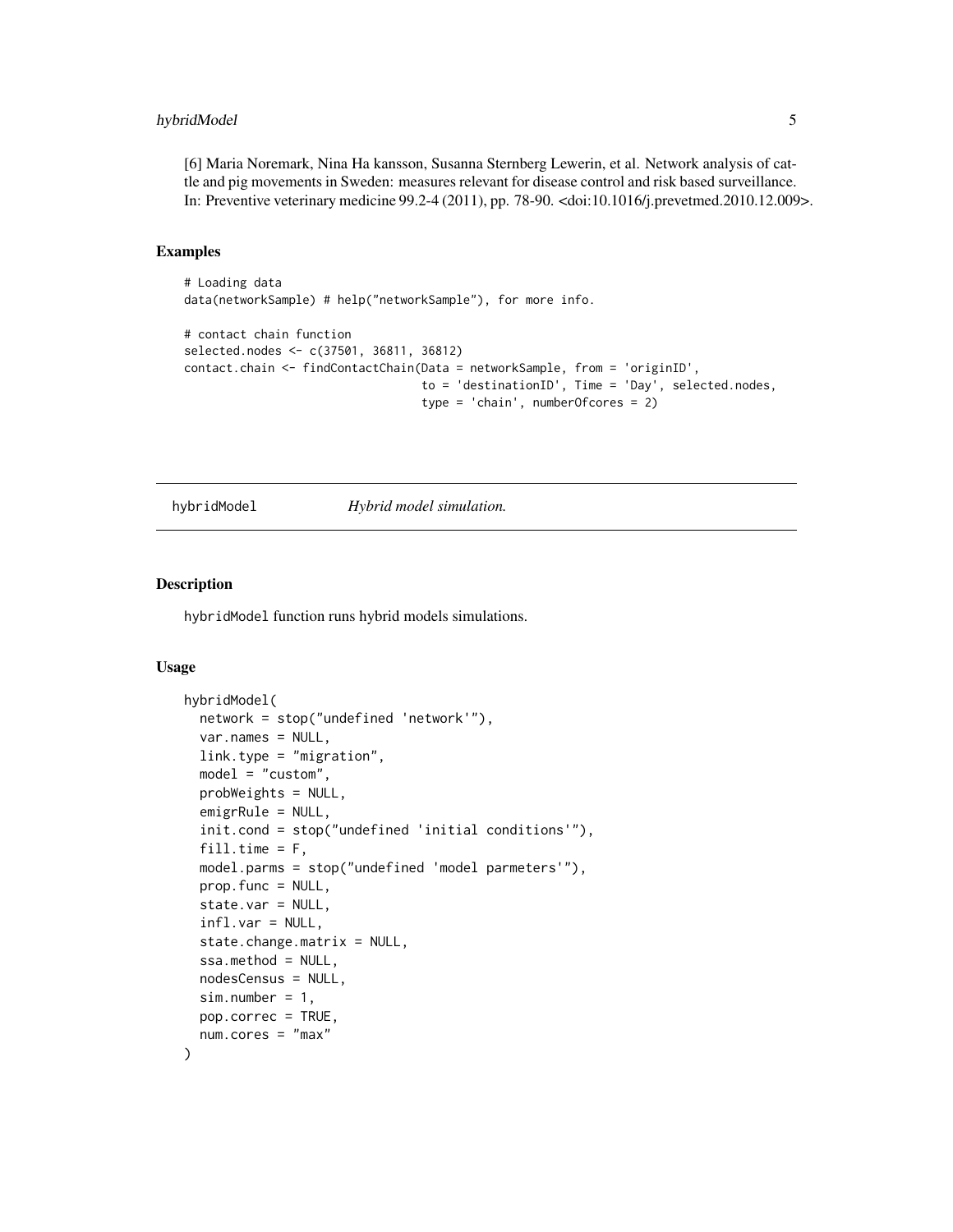#### <span id="page-4-0"></span>hybridModel 5

[6] Maria Noremark, Nina Ha kansson, Susanna Sternberg Lewerin, et al. Network analysis of cattle and pig movements in Sweden: measures relevant for disease control and risk based surveillance. In: Preventive veterinary medicine 99.2-4 (2011), pp. 78-90. <doi:10.1016/j.prevetmed.2010.12.009>.

#### Examples

```
# Loading data
data(networkSample) # help("networkSample"), for more info.
# contact chain function
selected.nodes <- c(37501, 36811, 36812)
contact.chain <- findContactChain(Data = networkSample, from = 'originID',
                                  to = 'destinationID', Time = 'Day', selected.nodes,
                                  type = 'chain', numberOfcores = 2)
```
hybridModel *Hybrid model simulation.*

#### Description

hybridModel function runs hybrid models simulations.

#### Usage

```
hybridModel(
  network = stop("undefined 'network'"),
  var.names = NULL,
  link.type = "migration",
  model = "custom",probWeights = NULL,
  emigrRule = NULL,
  init.cond = stop("undefined 'initial conditions'"),
  fill.time = F,model.parms = stop("undefined 'model parmeters'"),
  prop.func = NULL,
  state.var = NULL,
  infl.var = NULL,
  state.change.matrix = NULL,
  ssa.method = NULL,
  nodesCensus = NULL,
  sim.number = 1,
 pop.correc = TRUE,
  num.cores = "max"
)
```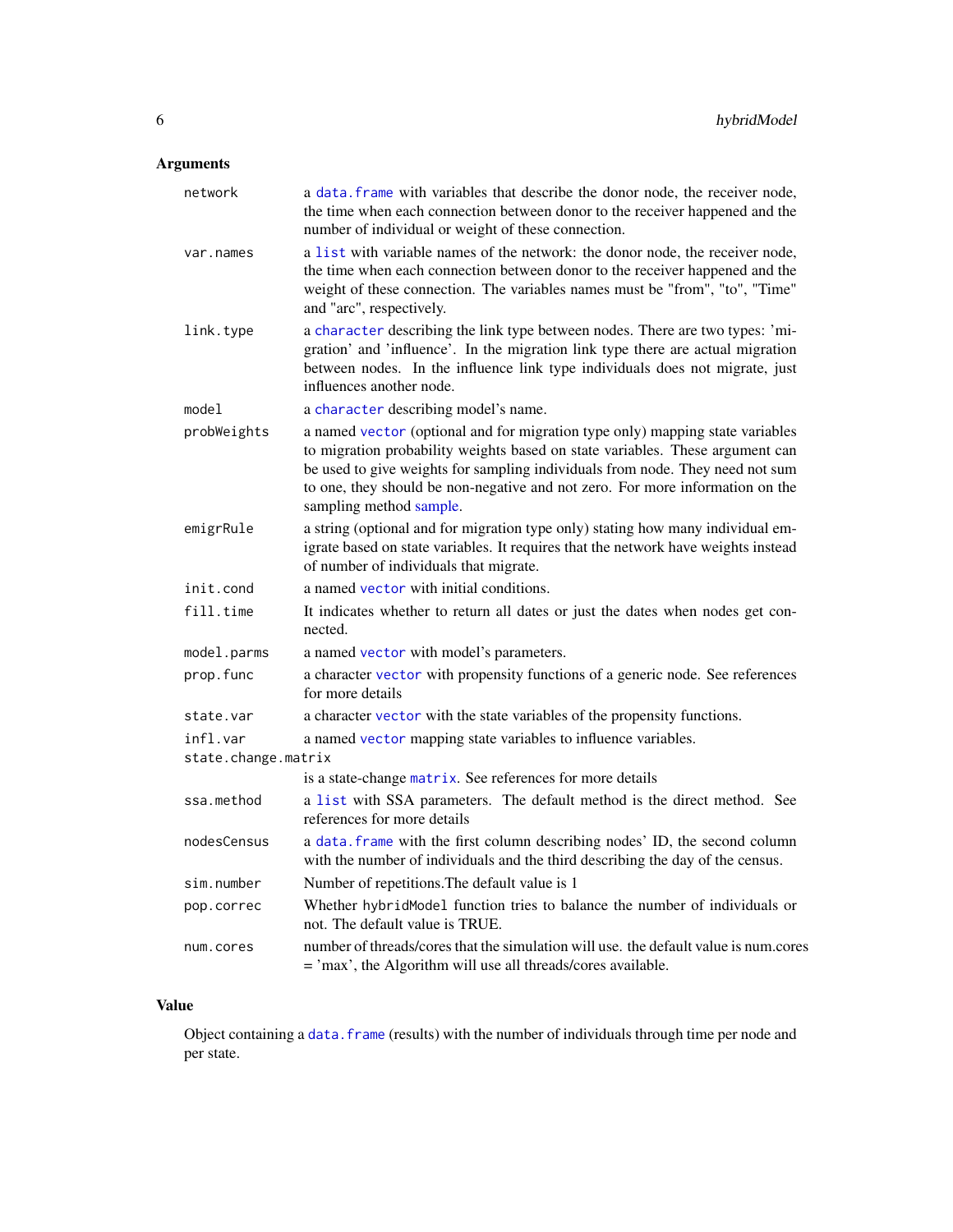## <span id="page-5-0"></span>Arguments

| network             | a data. frame with variables that describe the donor node, the receiver node,<br>the time when each connection between donor to the receiver happened and the<br>number of individual or weight of these connection.                                                                                                                                        |
|---------------------|-------------------------------------------------------------------------------------------------------------------------------------------------------------------------------------------------------------------------------------------------------------------------------------------------------------------------------------------------------------|
| var.names           | a list with variable names of the network: the donor node, the receiver node,<br>the time when each connection between donor to the receiver happened and the<br>weight of these connection. The variables names must be "from", "to", "Time"<br>and "arc", respectively.                                                                                   |
| link.type           | a character describing the link type between nodes. There are two types: 'mi-<br>gration' and 'influence'. In the migration link type there are actual migration<br>between nodes. In the influence link type individuals does not migrate, just<br>influences another node.                                                                                |
| model               | a character describing model's name.                                                                                                                                                                                                                                                                                                                        |
| probWeights         | a named vector (optional and for migration type only) mapping state variables<br>to migration probability weights based on state variables. These argument can<br>be used to give weights for sampling individuals from node. They need not sum<br>to one, they should be non-negative and not zero. For more information on the<br>sampling method sample. |
| emigrRule           | a string (optional and for migration type only) stating how many individual em-<br>igrate based on state variables. It requires that the network have weights instead<br>of number of individuals that migrate.                                                                                                                                             |
| init.cond           | a named vector with initial conditions.                                                                                                                                                                                                                                                                                                                     |
| fill.time           | It indicates whether to return all dates or just the dates when nodes get con-<br>nected.                                                                                                                                                                                                                                                                   |
| model.parms         | a named vector with model's parameters.                                                                                                                                                                                                                                                                                                                     |
| prop.func           | a character vector with propensity functions of a generic node. See references<br>for more details                                                                                                                                                                                                                                                          |
| state.var           | a character vector with the state variables of the propensity functions.                                                                                                                                                                                                                                                                                    |
| infl.var            | a named vector mapping state variables to influence variables.                                                                                                                                                                                                                                                                                              |
| state.change.matrix |                                                                                                                                                                                                                                                                                                                                                             |
|                     | is a state-change matrix. See references for more details                                                                                                                                                                                                                                                                                                   |
| ssa.method          | a list with SSA parameters. The default method is the direct method. See<br>references for more details                                                                                                                                                                                                                                                     |
| nodesCensus         | a data. frame with the first column describing nodes' ID, the second column<br>with the number of individuals and the third describing the day of the census.                                                                                                                                                                                               |
| sim.number          | Number of repetitions. The default value is 1                                                                                                                                                                                                                                                                                                               |
| pop.correc          | Whether hybridModel function tries to balance the number of individuals or<br>not. The default value is TRUE.                                                                                                                                                                                                                                               |
| num.cores           | number of threads/cores that the simulation will use. the default value is num.cores<br>$=$ 'max', the Algorithm will use all threads/cores available.                                                                                                                                                                                                      |

### Value

Object containing a data. frame (results) with the number of individuals through time per node and per state.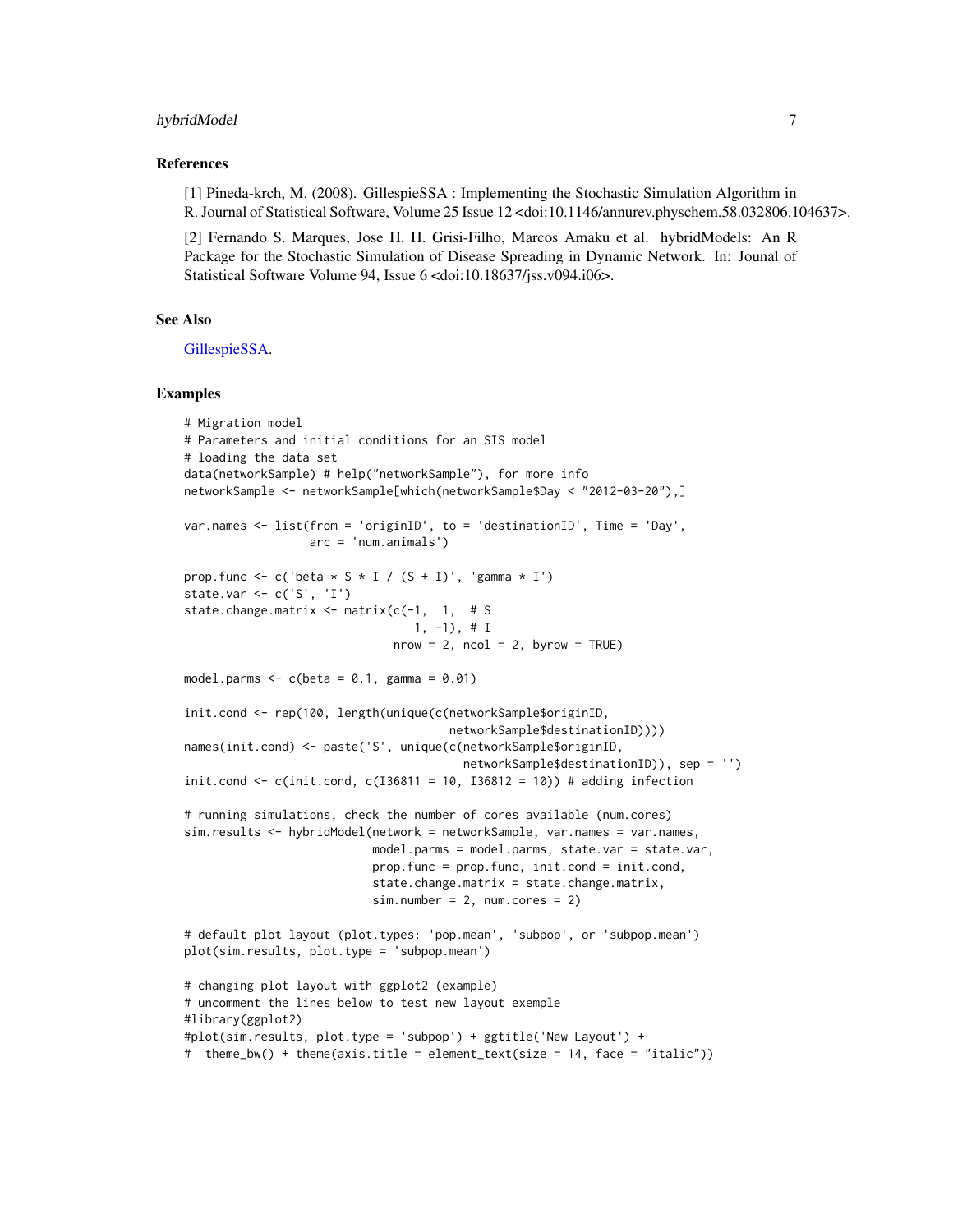#### <span id="page-6-0"></span>hybridModel 7

#### References

[1] Pineda-krch, M. (2008). GillespieSSA : Implementing the Stochastic Simulation Algorithm in R. Journal of Statistical Software, Volume 25 Issue 12 <doi:10.1146/annurev.physchem.58.032806.104637>.

[2] Fernando S. Marques, Jose H. H. Grisi-Filho, Marcos Amaku et al. hybridModels: An R Package for the Stochastic Simulation of Disease Spreading in Dynamic Network. In: Jounal of Statistical Software Volume 94, Issue 6 <doi:10.18637/jss.v094.i06>.

#### See Also

[GillespieSSA.](#page-0-0)

#### Examples

```
# Migration model
# Parameters and initial conditions for an SIS model
# loading the data set
data(networkSample) # help("networkSample"), for more info
networkSample <- networkSample[which(networkSample$Day < "2012-03-20"),]
var.names <- list(from = 'originID', to = 'destinationID', Time = 'Day',
                  arc = 'num.animals')
prop.func <- c('beta * S * I / (S + I)', 'gamma * I')
state.var <- c('S', 'I')
state.change.matrix <- matrix(c(-1, 1, # S
                                1, -1), \# Inrow = 2, ncol = 2, byrow = TRUE)
model.parms <-c(beta = 0.1, gamma = 0.01)init.cond <- rep(100, length(unique(c(networkSample$originID,
                                      networkSample$destinationID))))
names(init.cond) <- paste('S', unique(c(networkSample$originID,
                                        networkSample$destinationID)), sep = '')
init.cond <- c(init.cond, c(I36811 = 10, I36812 = 10)) # adding infection
# running simulations, check the number of cores available (num.cores)
sim.results <- hybridModel(network = networkSample, var.names = var.names,
                           model.parms = model.parms, state.var = state.var,
                           prop.func = prop.func, init.cond = init.cond,
                           state.change.matrix = state.change.matrix,
                           sim.number = 2, num.cores = 2)# default plot layout (plot.types: 'pop.mean', 'subpop', or 'subpop.mean')
plot(sim.results, plot.type = 'subpop.mean')
# changing plot layout with ggplot2 (example)
# uncomment the lines below to test new layout exemple
#library(ggplot2)
#plot(sim.results, plot.type = 'subpop') + ggtitle('New Layout') +
# theme_bw() + theme(axis.title = element_text(size = 14, face = "italic"))
```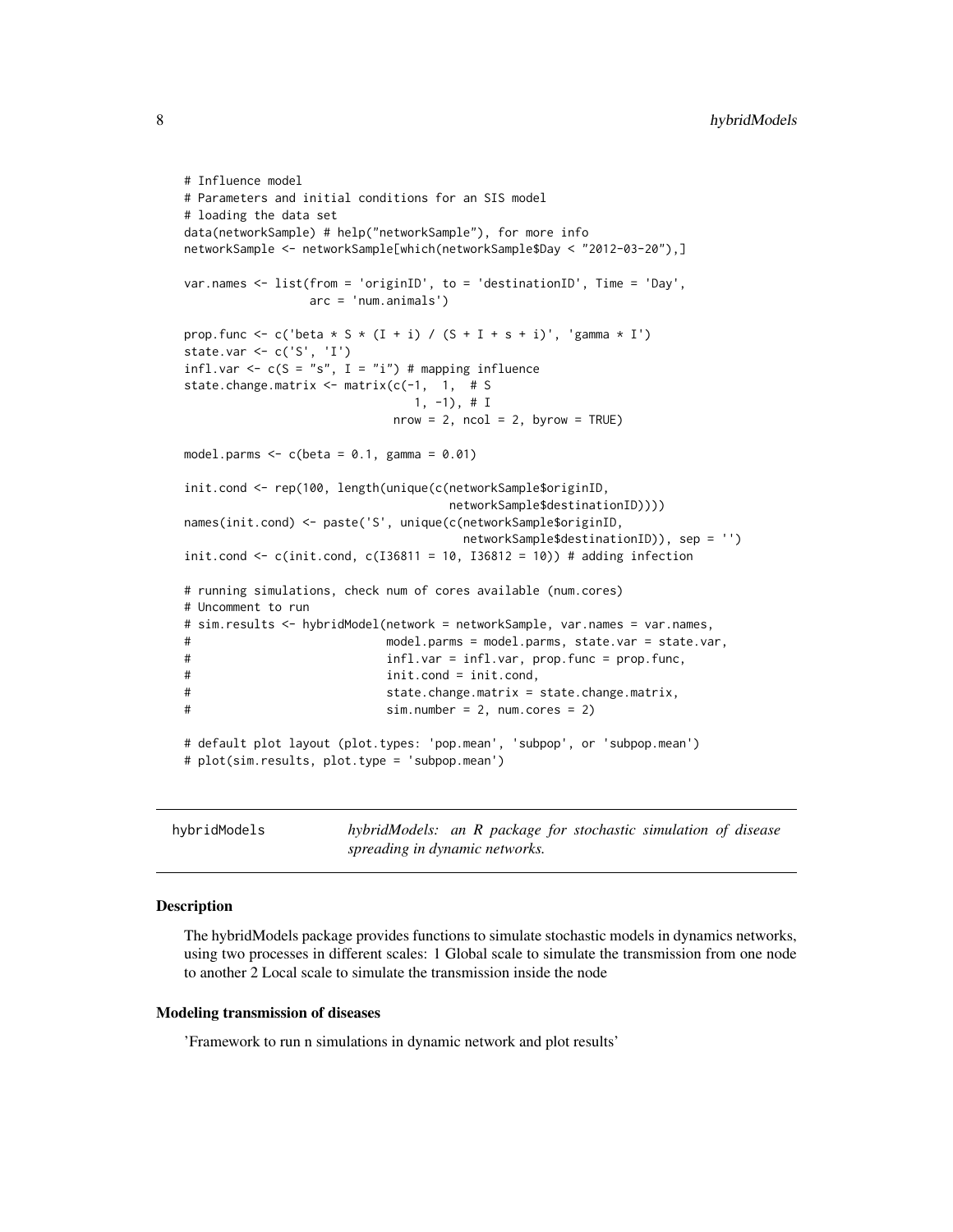```
# Influence model
# Parameters and initial conditions for an SIS model
# loading the data set
data(networkSample) # help("networkSample"), for more info
networkSample <- networkSample[which(networkSample$Day < "2012-03-20"),]
var.names <- list(from = 'originID', to = 'destinationID', Time = 'Day',
                arc = 'num.animals')
prop.func <- c('beta * S * (I + i) / (S + I + s + i)', 'gamma * I')
state.var <- c('S', 'I')
infl.var <- c(S = "s", I = "i") # mapping influence
state.change.matrix <- matrix(c(-1, 1, # S
                              1, -1), # I
                           nrow = 2, ncol = 2, byrow = TRUE)
model.parms <-c(beta = 0.1, gamma = 0.01)init.cond <- rep(100, length(unique(c(networkSample$originID,
                                  networkSample$destinationID))))
names(init.cond) <- paste('S', unique(c(networkSample$originID,
                                    networkSample$destinationID)), sep = '')
init.cond \leq c(init.cond, c(I36811 = 10, I36812 = 10)) # adding infection
# running simulations, check num of cores available (num.cores)
# Uncomment to run
# sim.results <- hybridModel(network = networkSample, var.names = var.names,
# model.parms = model.parms, state.var = state.var,
# infl.var = infl.var, prop.func = prop.func,
# init.cond = init.cond,
# state.change.matrix = state.change.matrix,
# sim.number = 2, num.cores = 2)
# default plot layout (plot.types: 'pop.mean', 'subpop', or 'subpop.mean')
# plot(sim.results, plot.type = 'subpop.mean')
```
hybridModels *hybridModels: an R package for stochastic simulation of disease spreading in dynamic networks.*

#### Description

The hybridModels package provides functions to simulate stochastic models in dynamics networks, using two processes in different scales: 1 Global scale to simulate the transmission from one node to another 2 Local scale to simulate the transmission inside the node

#### Modeling transmission of diseases

'Framework to run n simulations in dynamic network and plot results'

<span id="page-7-0"></span>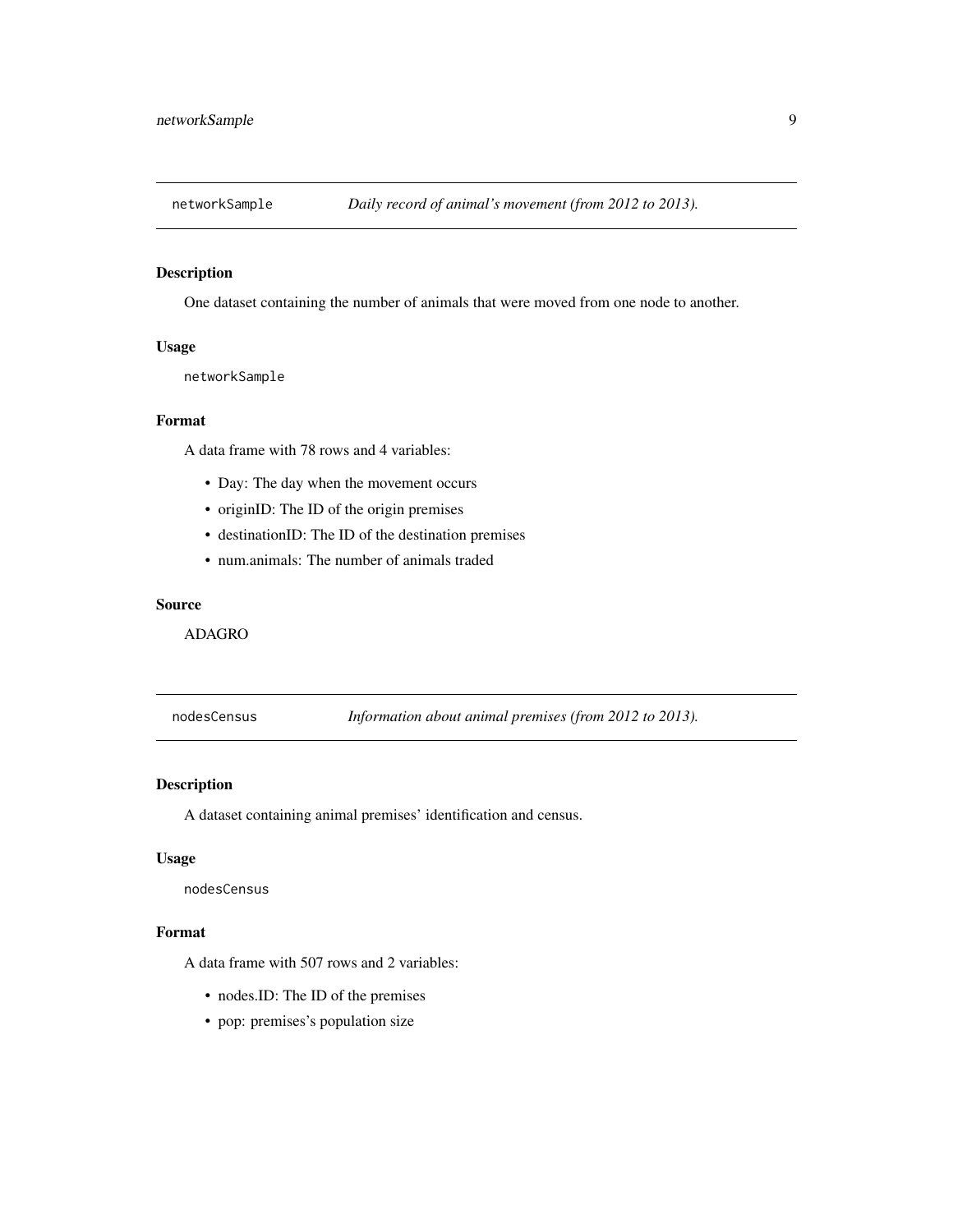<span id="page-8-0"></span>

#### Description

One dataset containing the number of animals that were moved from one node to another.

#### Usage

networkSample

#### Format

A data frame with 78 rows and 4 variables:

- Day: The day when the movement occurs
- originID: The ID of the origin premises
- destinationID: The ID of the destination premises
- num.animals: The number of animals traded

#### Source

ADAGRO

nodesCensus *Information about animal premises (from 2012 to 2013).*

#### Description

A dataset containing animal premises' identification and census.

#### Usage

nodesCensus

#### Format

A data frame with 507 rows and 2 variables:

- nodes.ID: The ID of the premises
- pop: premises's population size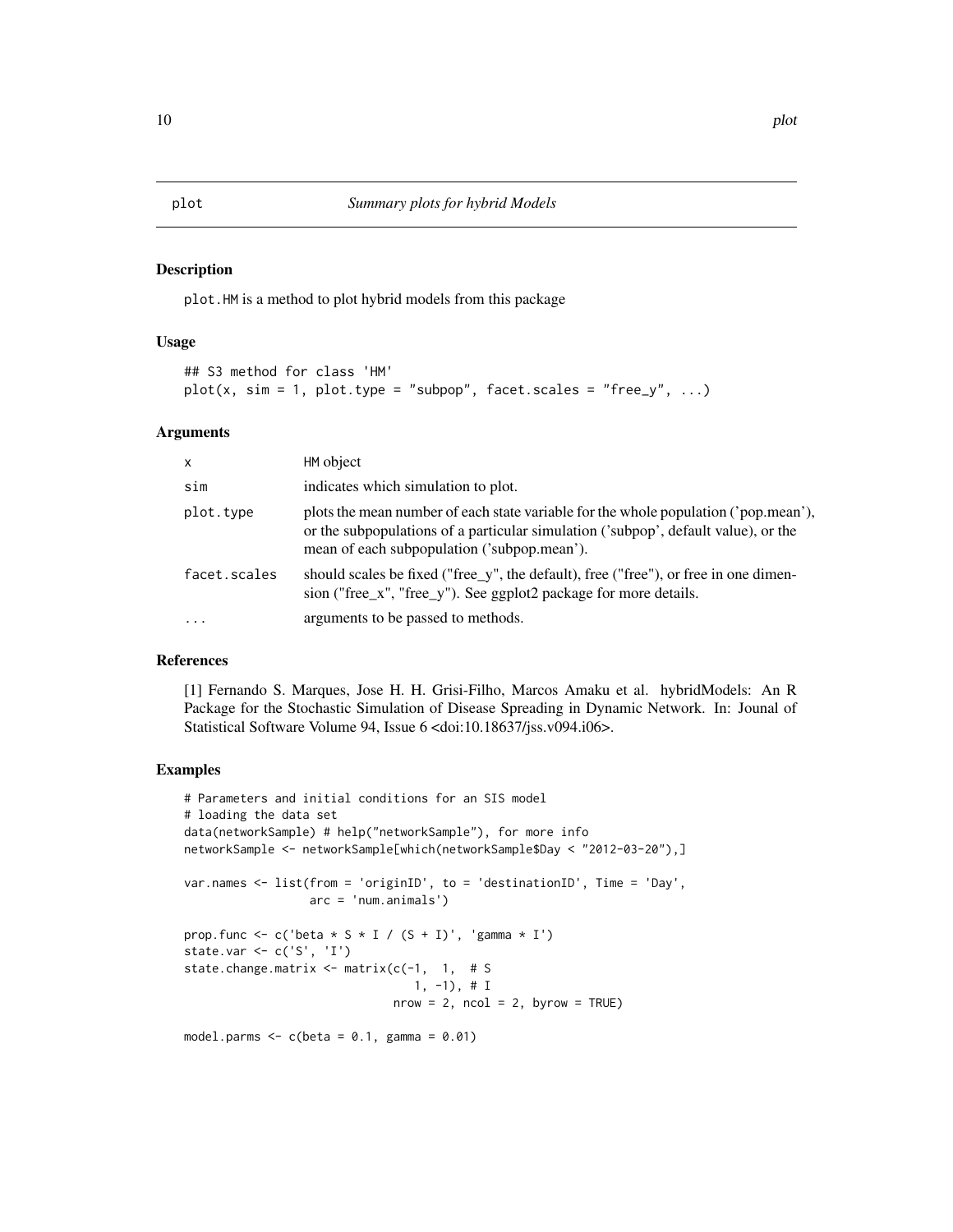#### <span id="page-9-0"></span>Description

plot.HM is a method to plot hybrid models from this package

#### Usage

```
## S3 method for class 'HM'
plot(x, sim = 1, plot_type = "subpop", facet.scales = "free_y", ...)
```
#### Arguments

| $\mathsf{x}$ | HM object                                                                                                                                                                                                                |
|--------------|--------------------------------------------------------------------------------------------------------------------------------------------------------------------------------------------------------------------------|
| sim          | indicates which simulation to plot.                                                                                                                                                                                      |
| plot.type    | plots the mean number of each state variable for the whole population ('pop.mean'),<br>or the subpopulations of a particular simulation ('subpop', default value), or the<br>mean of each subpopulation ('subpop.mean'). |
| facet.scales | should scales be fixed ("free_y", the default), free ("free"), or free in one dimen-<br>sion ("free_x", "free_y"). See ggplot2 package for more details.                                                                 |
| $\cdots$     | arguments to be passed to methods.                                                                                                                                                                                       |

#### References

[1] Fernando S. Marques, Jose H. H. Grisi-Filho, Marcos Amaku et al. hybridModels: An R Package for the Stochastic Simulation of Disease Spreading in Dynamic Network. In: Jounal of Statistical Software Volume 94, Issue 6 <doi:10.18637/jss.v094.i06>.

#### Examples

```
# Parameters and initial conditions for an SIS model
# loading the data set
data(networkSample) # help("networkSample"), for more info
networkSample <- networkSample[which(networkSample$Day < "2012-03-20"),]
var.names <- list(from = 'originID', to = 'destinationID', Time = 'Day',
                  arc = 'num.animals')
prop.func <- c('beta * S * I / (S + I)', 'gamma * I')
state.var <- c('S', 'I')
state.change.matrix \leq matrix(c(-1, 1, # S
                                 1, -1), # I
                              nrow = 2, ncol = 2, byrow = TRUE)
model.parms \leq c(beta = 0.1, gamma = 0.01)
```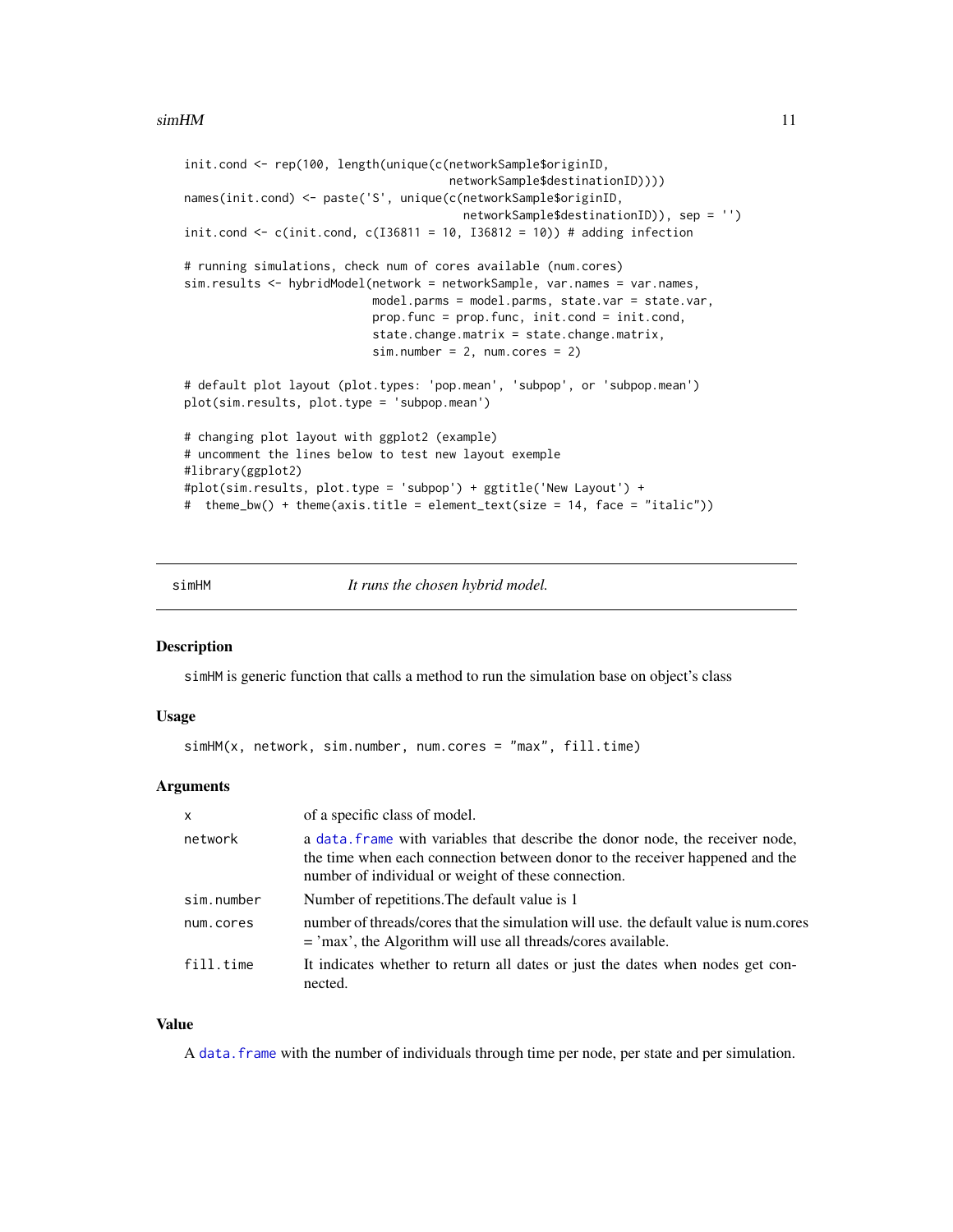#### <span id="page-10-0"></span> $\sin H$ M 11

```
init.cond <- rep(100, length(unique(c(networkSample$originID,
                                      networkSample$destinationID))))
names(init.cond) <- paste('S', unique(c(networkSample$originID,
                                        networkSample$destinationID)), sep = '')
init.cond \leq c(init.cond, c(I36811 = 10, I36812 = 10)) # adding infection
# running simulations, check num of cores available (num.cores)
sim.results <- hybridModel(network = networkSample, var.names = var.names,
                           model.parms = model.parms, state.var = state.var,
                           prop.func = prop.func, init.cond = init.cond,
                           state.change.matrix = state.change.matrix,
                           sim.number = 2, num.cores = 2)
# default plot layout (plot.types: 'pop.mean', 'subpop', or 'subpop.mean')
plot(sim.results, plot.type = 'subpop.mean')
# changing plot layout with ggplot2 (example)
# uncomment the lines below to test new layout exemple
#library(ggplot2)
#plot(sim.results, plot.type = 'subpop') + ggtitle('New Layout') +
# theme_bw() + theme(axis.title = element_text(size = 14, face = "italic"))
```
simHM *It runs the chosen hybrid model.*

#### Description

simHM is generic function that calls a method to run the simulation base on object's class

#### Usage

simHM(x, network, sim.number, num.cores = "max", fill.time)

#### Arguments

| X          | of a specific class of model.                                                                                                                                                                                        |
|------------|----------------------------------------------------------------------------------------------------------------------------------------------------------------------------------------------------------------------|
| network    | a data, frame with variables that describe the donor node, the receiver node,<br>the time when each connection between donor to the receiver happened and the<br>number of individual or weight of these connection. |
| sim.number | Number of repetitions. The default value is 1                                                                                                                                                                        |
| num.cores  | number of threads/cores that the simulation will use, the default value is num.cores<br>$=$ 'max', the Algorithm will use all threads/cores available.                                                               |
| fill.time  | It indicates whether to return all dates or just the dates when nodes get con-<br>nected.                                                                                                                            |

#### Value

A [data.frame](#page-0-0) with the number of individuals through time per node, per state and per simulation.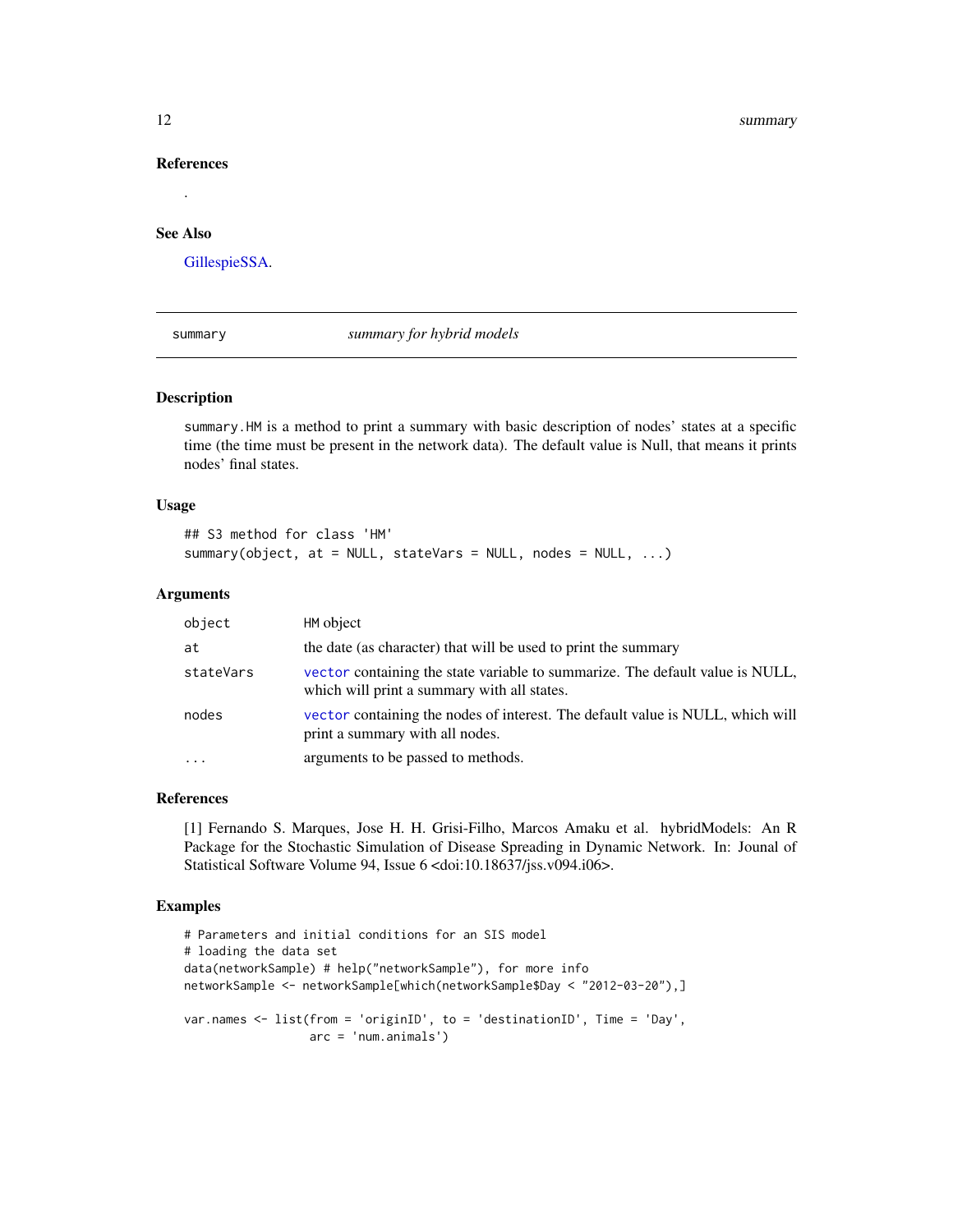#### <span id="page-11-0"></span>References

#### See Also

.

[GillespieSSA.](#page-0-0)

summary *summary for hybrid models*

#### Description

summary.HM is a method to print a summary with basic description of nodes' states at a specific time (the time must be present in the network data). The default value is Null, that means it prints nodes' final states.

#### Usage

```
## S3 method for class 'HM'
summary(object, at = NULL, stateVars = NULL, nodes = NULL, ...)
```
#### **Arguments**

| object    | HM object                                                                                                                    |
|-----------|------------------------------------------------------------------------------------------------------------------------------|
| at        | the date (as character) that will be used to print the summary                                                               |
| stateVars | vector containing the state variable to summarize. The default value is NULL,<br>which will print a summary with all states. |
| nodes     | vector containing the nodes of interest. The default value is NULL, which will<br>print a summary with all nodes.            |
| $\ddotsc$ | arguments to be passed to methods.                                                                                           |

#### References

[1] Fernando S. Marques, Jose H. H. Grisi-Filho, Marcos Amaku et al. hybridModels: An R Package for the Stochastic Simulation of Disease Spreading in Dynamic Network. In: Jounal of Statistical Software Volume 94, Issue 6 <doi:10.18637/jss.v094.i06>.

#### Examples

```
# Parameters and initial conditions for an SIS model
# loading the data set
data(networkSample) # help("networkSample"), for more info
networkSample <- networkSample[which(networkSample$Day < "2012-03-20"),]
var.names <- list(from = 'originID', to = 'destinationID', Time = 'Day',
                  arc = 'num.animals')
```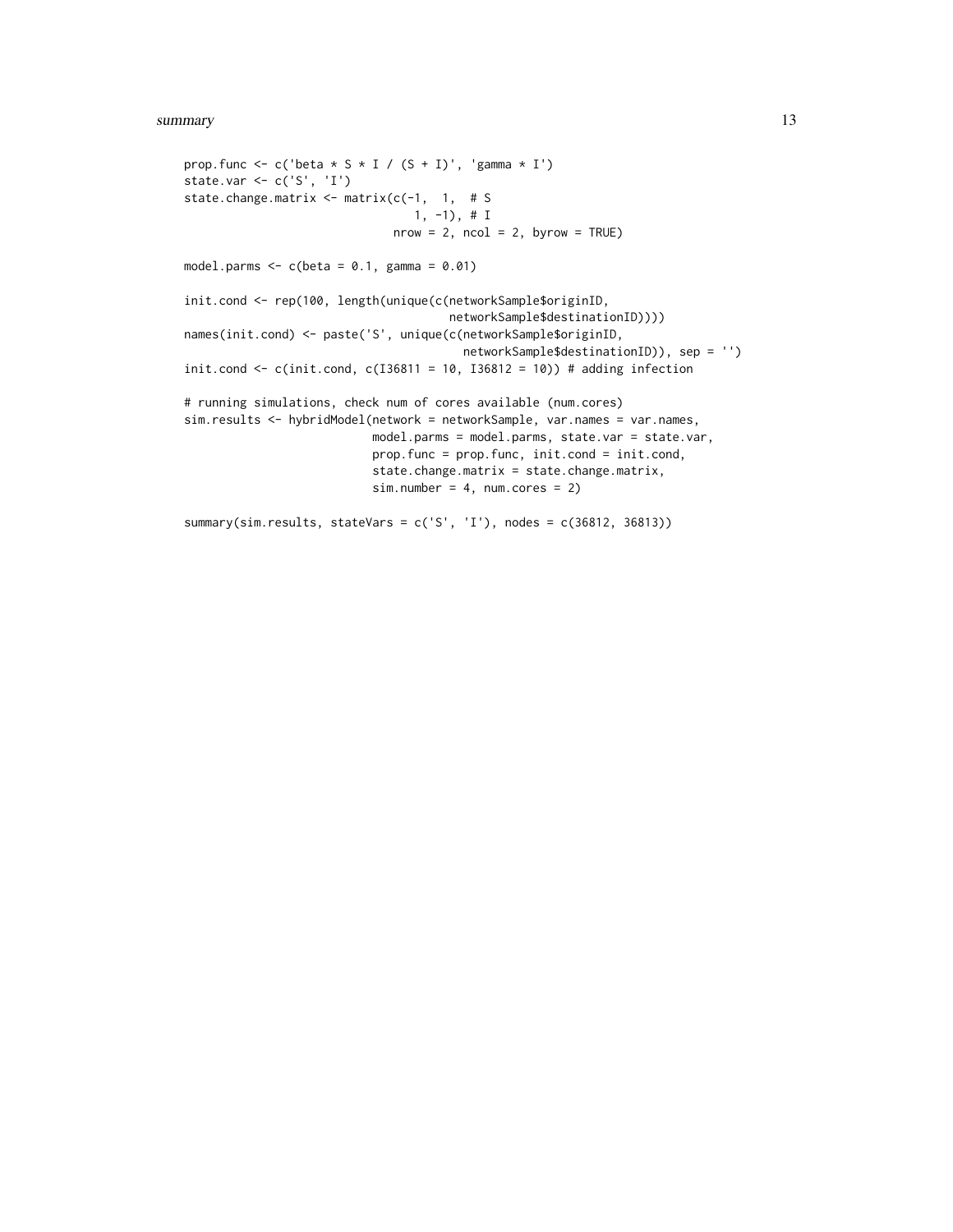#### summary the contract of the contract of the contract of the contract of the contract of the contract of the contract of the contract of the contract of the contract of the contract of the contract of the contract of the co

```
prop.func <- c('beta * S * I / (S + I)', 'gamma * I')
state.var \leq c('S', 'I')
state.change.matrix <- matrix(c(-1, 1, # S
                                 1, -1), # I
                              nrow = 2, ncol = 2, byrow = TRUE)
model.parms \leq c(beta = 0.1, gamma = 0.01)
init.cond <- rep(100, length(unique(c(networkSample$originID,
                                      networkSample$destinationID))))
names(init.cond) <- paste('S', unique(c(networkSample$originID,
                                        networkSample$destinationID)), sep = '')
init.cond <- c(init.cond, c(I36811 = 10, I36812 = 10)) # adding infection
# running simulations, check num of cores available (num.cores)
sim.results <- hybridModel(network = networkSample, var.names = var.names,
                           model.parms = model.parms, state.var = state.var,
                           prop.func = prop.func, init.cond = init.cond,
                           state.change.matrix = state.change.matrix,
                           sim.number = 4, num.cores = 2)summary(sim.results, stateVars = c('S', 'I'), nodes = c(36812, 36813))
```